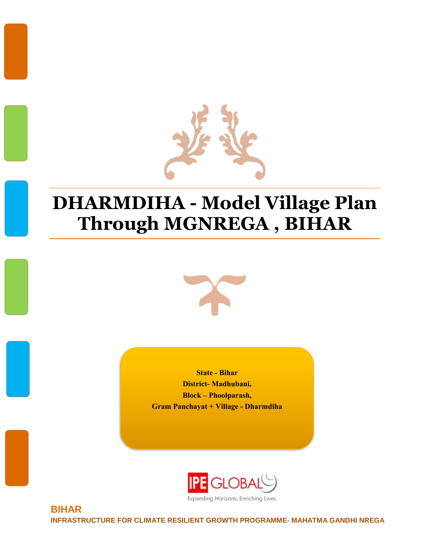

# **DHARMDIHA - Model Village Plan Through MGNREGA , BIHAR**



**State - Bihar District- Madhubani, Block – Phoolparash, Gram Panchayat + Village - Dharmdiha**



Expanding Horizons. Enriching Lives.

**BIHAR INFRASTRUCTURE FOR CLIMATE RESILIENT GROWTH PROGRAMME- MAHATMA GANDHI NREGA**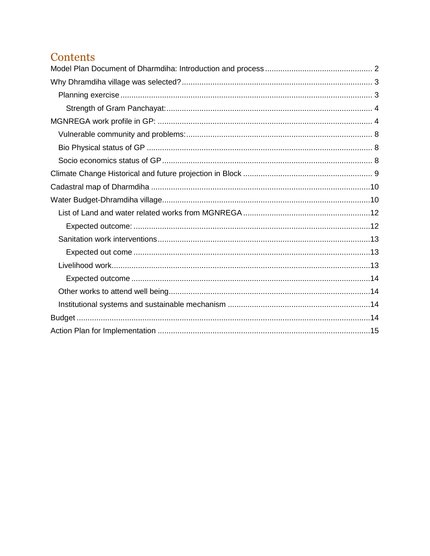# Contents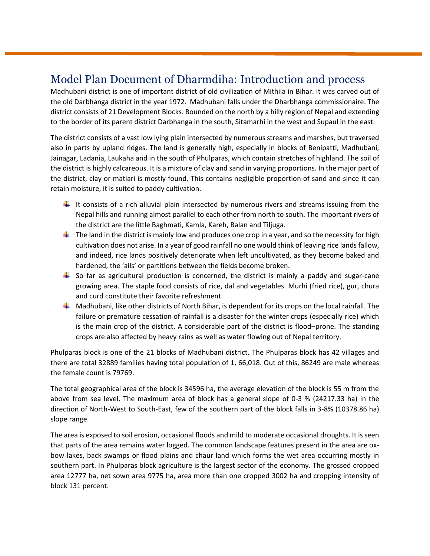# <span id="page-2-0"></span>Model Plan Document of Dharmdiha: Introduction and process

Madhubani district is one of important district of old civilization of Mithila in Bihar. It was carved out of the old Darbhanga district in the year 1972. Madhubani falls under the Dharbhanga commissionaire. The district consists of 21 Development Blocks. Bounded on the north by a hilly region of Nepal and extending to the border of its parent district Darbhanga in the south, Sitamarhi in the west and Supaul in the east.

The district consists of a vast low lying plain intersected by numerous streams and marshes, but traversed also in parts by upland ridges. The land is generally high, especially in blocks of Benipatti, Madhubani, Jainagar, Ladania, Laukaha and in the south of Phulparas, which contain stretches of highland. The soil of the district is highly calcareous. It is a mixture of clay and sand in varying proportions. In the major part of the district, clay or matiari is mostly found. This contains negligible proportion of sand and since it can retain moisture, it is suited to paddy cultivation.

- It consists of a rich alluvial plain intersected by numerous rivers and streams issuing from the Nepal hills and running almost parallel to each other from north to south. The important rivers of the district are the little Baghmati, Kamla, Kareh, Balan and Tiljuga.
- $\downarrow$  The land in the district is mainly low and produces one crop in a year, and so the necessity for high cultivation does not arise. In a year of good rainfall no one would think of leaving rice lands fallow, and indeed, rice lands positively deteriorate when left uncultivated, as they become baked and hardened, the 'ails' or partitions between the fields become broken.
- $\downarrow$  So far as agricultural production is concerned, the district is mainly a paddy and sugar-cane growing area. The staple food consists of rice, dal and vegetables. Murhi (fried rice), gur, chura and curd constitute their favorite refreshment.
- $\downarrow$  Madhubani, like other districts of North Bihar, is dependent for its crops on the local rainfall. The failure or premature cessation of rainfall is a disaster for the winter crops (especially rice) which is the main crop of the district. A considerable part of the district is flood–prone. The standing crops are also affected by heavy rains as well as water flowing out of Nepal territory.

Phulparas block is one of the 21 blocks of Madhubani district. The Phulparas block has 42 villages and there are total 32889 families having total population of 1, 66,018. Out of this, 86249 are male whereas the female count is 79769.

The total geographical area of the block is 34596 ha, the average elevation of the block is 55 m from the above from sea level. The maximum area of block has a general slope of 0-3 % (24217.33 ha) in the direction of North-West to South-East, few of the southern part of the block falls in 3-8% (10378.86 ha) slope range.

The area is exposed to soil erosion, occasional floods and mild to moderate occasional droughts. It is seen that parts of the area remains water logged. The common landscape features present in the area are oxbow lakes, back swamps or flood plains and chaur land which forms the wet area occurring mostly in southern part. In Phulparas block agriculture is the largest sector of the economy. The grossed cropped area 12777 ha, net sown area 9775 ha, area more than one cropped 3002 ha and cropping intensity of block 131 percent.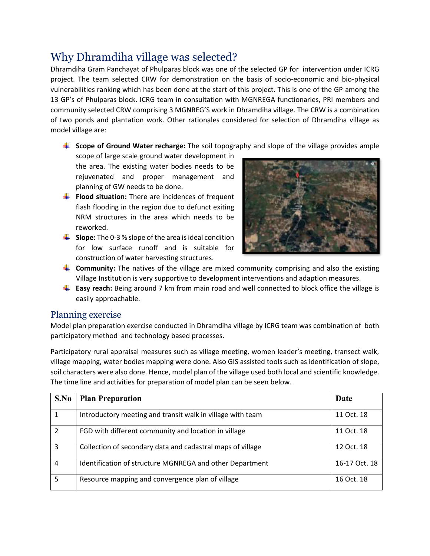# <span id="page-3-0"></span>Why Dhramdiha village was selected?

Dhramdiha Gram Panchayat of Phulparas block was one of the selected GP for intervention under ICRG project. The team selected CRW for demonstration on the basis of socio-economic and bio-physical vulnerabilities ranking which has been done at the start of this project. This is one of the GP among the 13 GP's of Phulparas block. ICRG team in consultation with MGNREGA functionaries, PRI members and community selected CRW comprising 3 MGNREG'S work in Dhramdiha village. The CRW is a combination of two ponds and plantation work. Other rationales considered for selection of Dhramdiha village as model village are:

#### **Scope of Ground Water recharge:** The soil topography and slope of the village provides ample

scope of large scale ground water development in the area. The existing water bodies needs to be rejuvenated and proper management and planning of GW needs to be done.

- **Flood situation:** There are incidences of frequent flash flooding in the region due to defunct exiting NRM structures in the area which needs to be reworked.
- **Slope:** The 0-3 % slope of the area is ideal condition for low surface runoff and is suitable for construction of water harvesting structures.



- **Community:** The natives of the village are mixed community comprising and also the existing Village Institution is very supportive to development interventions and adaption measures.
- **Easy reach:** Being around 7 km from main road and well connected to block office the village is easily approachable.

### <span id="page-3-1"></span>Planning exercise

Model plan preparation exercise conducted in Dhramdiha village by ICRG team was combination of both participatory method and technology based processes.

Participatory rural appraisal measures such as village meeting, women leader's meeting, transect walk, village mapping, water bodies mapping were done. Also GIS assisted tools such as identification of slope, soil characters were also done. Hence, model plan of the village used both local and scientific knowledge. The time line and activities for preparation of model plan can be seen below.

| S.No           | <b>Plan Preparation</b>                                    | Date          |
|----------------|------------------------------------------------------------|---------------|
| 1              | Introductory meeting and transit walk in village with team | 11 Oct. 18    |
| $\overline{2}$ | FGD with different community and location in village       | 11 Oct. 18    |
| 3              | Collection of secondary data and cadastral maps of village | 12 Oct. 18    |
| 4              | Identification of structure MGNREGA and other Department   | 16-17 Oct. 18 |
| 5              | Resource mapping and convergence plan of village           | 16 Oct. 18    |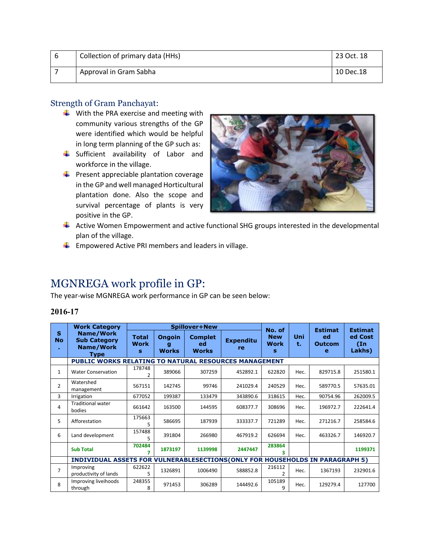| -6 | Collection of primary data (HHs) | 23 Oct. 18 |
|----|----------------------------------|------------|
|    | Approval in Gram Sabha           | 10 Dec.18  |

### <span id="page-4-0"></span>Strength of Gram Panchayat:

- $\frac{1}{2}$  With the PRA exercise and meeting with community various strengths of the GP were identified which would be helpful in long term planning of the GP such as:
- Sufficient availability of Labor and workforce in the village.
- $\bigstar$  Present appreciable plantation coverage in the GP and well managed Horticultural plantation done. Also the scope and survival percentage of plants is very positive in the GP.



- $\ddotplus$  Active Women Empowerment and active functional SHG groups interested in the developmental plan of the village.
- $\downarrow$  Empowered Active PRI members and leaders in village.

# <span id="page-4-1"></span>MGNREGA work profile in GP:

The year-wise MGNREGA work performance in GP can be seen below:

|                | <b>Work Category</b>                                                         |                           | <b>Spillover+New</b>               |                                      |                        |                                          |           | <b>Estimat</b>           | <b>Estimat</b>                     |
|----------------|------------------------------------------------------------------------------|---------------------------|------------------------------------|--------------------------------------|------------------------|------------------------------------------|-----------|--------------------------|------------------------------------|
| S<br><b>No</b> | <b>Name/Work</b><br><b>Sub Category</b><br><b>Name/Work</b><br><b>Type</b>   | <b>Total</b><br>Work<br>s | <b>Ongoin</b><br>g<br><b>Works</b> | <b>Complet</b><br>ed<br><b>Works</b> | <b>Expenditu</b><br>re | No. of<br><b>New</b><br><b>Work</b><br>s | Uni<br>t. | ed<br><b>Outcom</b><br>e | ed Cost<br>$(\text{In})$<br>Lakhs) |
|                | <b>PUBLIC WORKS RELATING TO NATURAL RESOURCES MANAGEMENT</b>                 |                           |                                    |                                      |                        |                                          |           |                          |                                    |
| $\mathbf{1}$   | <b>Water Conservation</b>                                                    | 178748<br>2               | 389066                             | 307259                               | 452892.1               | 622820                                   | Hec.      | 829715.8                 | 251580.1                           |
| $\overline{2}$ | Watershed<br>management                                                      | 567151                    | 142745                             | 99746                                | 241029.4               | 240529                                   | Hec.      | 589770.5                 | 57635.01                           |
| 3              | Irrigation                                                                   | 677052                    | 199387                             | 133479                               | 343890.6               | 318615                                   | Hec.      | 90754.96                 | 262009.5                           |
| 4              | <b>Traditional water</b><br>bodies                                           | 661642                    | 163500                             | 144595                               | 608377.7               | 308696                                   | Hec.      | 196972.7                 | 222641.4                           |
| 5              | Afforestation                                                                | 175663<br>5               | 586695                             | 187939                               | 333337.7               | 721289                                   | Hec.      | 271216.7                 | 258584.6                           |
| 6              | Land development                                                             | 157488<br>5               | 391804                             | 266980                               | 467919.2               | 626694                                   | Hec.      | 463326.7                 | 146920.7                           |
|                | <b>Sub Total</b>                                                             | 702484<br>7               | 1873197                            | 1139998                              | 2447447                | 283864<br>ર                              |           |                          | 1199371                            |
|                | INDIVIDUAL ASSETS FOR VULNERABLESECTIONS(ONLY FOR HOUSEHOLDS IN PARAGRAPH 5) |                           |                                    |                                      |                        |                                          |           |                          |                                    |
| $\overline{7}$ | Improving<br>productivity of lands                                           | 622622<br>5               | 1326891                            | 1006490                              | 588852.8               | 216112                                   | Hec.      | 1367193                  | 232901.6                           |
| 8              | Improving liveihoods<br>through                                              | 248355<br>8               | 971453                             | 306289                               | 144492.6               | 105189<br>9                              | Hec.      | 129279.4                 | 127700                             |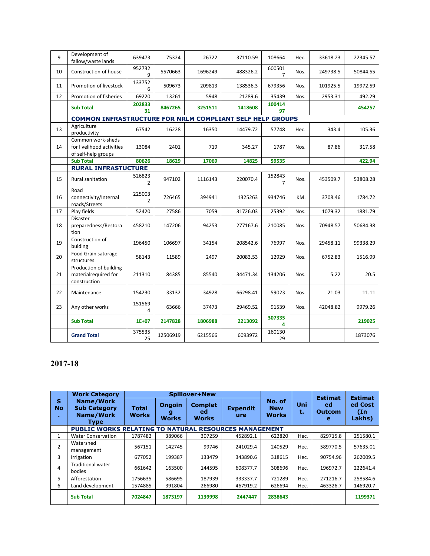| 9  | Development of<br>fallow/waste lands                                  | 639473                   | 75324    | 26722   | 37110.59 | 108664                   | Hec. | 33618.23 | 22345.57 |
|----|-----------------------------------------------------------------------|--------------------------|----------|---------|----------|--------------------------|------|----------|----------|
| 10 | Construction of house                                                 | 952732<br>9              | 5570663  | 1696249 | 488326.2 | 600501<br>$\overline{7}$ | Nos. | 249738.5 | 50844.55 |
| 11 | Promotion of livestock                                                | 133752<br>6              | 509673   | 209813  | 138536.3 | 679356                   | Nos. | 101925.5 | 19972.59 |
| 12 | Promotion of fisheries                                                | 69220                    | 13261    | 5948    | 21289.6  | 35439                    | Nos. | 2953.31  | 492.29   |
|    | <b>Sub Total</b>                                                      | 202833<br>31             | 8467265  | 3251511 | 1418608  | 100414<br>97             |      |          | 454257   |
|    | <b>COMMON INFRASTRUCTURE FOR NRLM COMPLIANT SELF HELP GROUPS</b>      |                          |          |         |          |                          |      |          |          |
| 13 | Agriculture<br>productivity                                           | 67542                    | 16228    | 16350   | 14479.72 | 57748                    | Hec. | 343.4    | 105.36   |
| 14 | Common work-sheds<br>for livelihood activities<br>of self-help groups | 13084                    | 2401     | 719     | 345.27   | 1787                     | Nos. | 87.86    | 317.58   |
|    | <b>Sub Total</b>                                                      | 80626                    | 18629    | 17069   | 14825    | 59535                    |      |          | 422.94   |
|    | <b>RURAL INFRASTUCTURE</b>                                            |                          |          |         |          |                          |      |          |          |
| 15 | Rural sanitation                                                      | 526823<br>2              | 947102   | 1116143 | 220070.4 | 152843<br>$\overline{7}$ | Nos. | 453509.7 | 53808.28 |
| 16 | Road<br>connectivity/Internal<br>roads/Streets                        | 225003<br>$\overline{2}$ | 726465   | 394941  | 1325263  | 934746                   | KM.  | 3708.46  | 1784.72  |
| 17 | Play fields                                                           | 52420                    | 27586    | 7059    | 31726.03 | 25392                    | Nos. | 1079.32  | 1881.79  |
| 18 | Disaster<br>preparedness/Restora<br>tion                              | 458210                   | 147206   | 94253   | 277167.6 | 210085                   | Nos. | 70948.57 | 50684.38 |
| 19 | Construction of<br>bulding                                            | 196450                   | 106697   | 34154   | 208542.6 | 76997                    | Nos. | 29458.11 | 99338.29 |
| 20 | Food Grain satorage<br>structures                                     | 58143                    | 11589    | 2497    | 20083.53 | 12929                    | Nos. | 6752.83  | 1516.99  |
| 21 | Production of building<br>materialrequired for<br>construction        | 211310                   | 84385    | 85540   | 34471.34 | 134206                   | Nos. | 5.22     | 20.5     |
| 22 | Maintenance                                                           | 154230                   | 33132    | 34928   | 66298.41 | 59023                    | Nos. | 21.03    | 11.11    |
| 23 | Any other works                                                       | 151569<br>4              | 63666    | 37473   | 29469.52 | 91539                    | Nos. | 42048.82 | 9979.26  |
|    | <b>Sub Total</b>                                                      | $1E + 07$                | 2147828  | 1806988 | 2213092  | 307335<br>4              |      |          | 219025   |
|    | <b>Grand Total</b>                                                    | 375535<br>25             | 12506919 | 6215566 | 6093972  | 160130<br>29             |      |          | 1873076  |

# **2017-18**

|                      | <b>Work Category</b>                                                |                              |                               | Spillover+New                        |                        |                                      |           | <b>Estimat</b>           | <b>Estimat</b>           |
|----------------------|---------------------------------------------------------------------|------------------------------|-------------------------------|--------------------------------------|------------------------|--------------------------------------|-----------|--------------------------|--------------------------|
| S<br><b>No</b><br>۰. | Name/Work<br><b>Sub Category</b><br><b>Name/Work</b><br><b>Type</b> | <b>Total</b><br><b>Works</b> | <b>Ongoin</b><br><b>Works</b> | <b>Complet</b><br>ed<br><b>Works</b> | <b>Expendit</b><br>ure | No. of<br><b>New</b><br><b>Works</b> | Uni<br>t. | ed<br><b>Outcom</b><br>е | ed Cost<br>(n)<br>Lakhs) |
|                      | PUBLIC WORKS RELATING TO NATURAL RESOURCES MANAGEMENT               |                              |                               |                                      |                        |                                      |           |                          |                          |
| 1                    | <b>Water Conservation</b>                                           | 1787482                      | 389066                        | 307259                               | 452892.1               | 622820                               | Hec.      | 829715.8                 | 251580.1                 |
| 2                    | Watershed<br>management                                             | 567151                       | 142745                        | 99746                                | 241029.4               | 240529                               | Hec.      | 589770.5                 | 57635.01                 |
| 3                    | Irrigation                                                          | 677052                       | 199387                        | 133479                               | 343890.6               | 318615                               | Hec.      | 90754.96                 | 262009.5                 |
| 4                    | <b>Traditional water</b><br>bodies                                  | 661642                       | 163500                        | 144595                               | 608377.7               | 308696                               | Hec.      | 196972.7                 | 222641.4                 |
| 5.                   | Afforestation                                                       | 1756635                      | 586695                        | 187939                               | 333337.7               | 721289                               | Hec.      | 271216.7                 | 258584.6                 |
| 6                    | Land development                                                    | 1574885                      | 391804                        | 266980                               | 467919.2               | 626694                               | Hec.      | 463326.7                 | 146920.7                 |
|                      | <b>Sub Total</b>                                                    | 7024847                      | 1873197                       | 1139998                              | 2447447                | 2838643                              |           |                          | 1199371                  |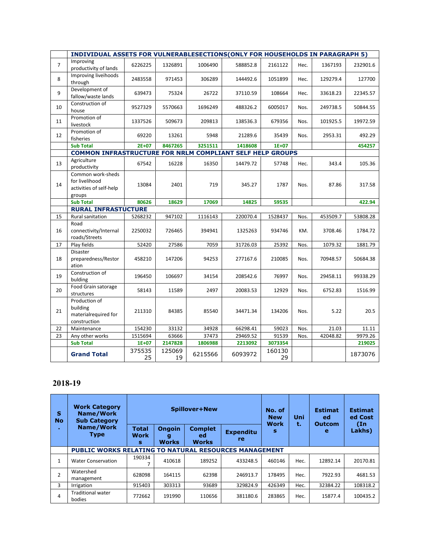|                | INDIVIDUAL ASSETS FOR VULNERABLESECTIONS(ONLY FOR HOUSEHOLDS IN PARAGRAPH 5) |              |              |         |          |              |      |          |          |
|----------------|------------------------------------------------------------------------------|--------------|--------------|---------|----------|--------------|------|----------|----------|
| $\overline{7}$ | Improving<br>productivity of lands                                           | 6226225      | 1326891      | 1006490 | 588852.8 | 2161122      | Hec. | 1367193  | 232901.6 |
| 8              | Improving liveihoods<br>through                                              | 2483558      | 971453       | 306289  | 144492.6 | 1051899      | Hec. | 129279.4 | 127700   |
| 9              | Development of<br>fallow/waste lands                                         | 639473       | 75324        | 26722   | 37110.59 | 108664       | Hec. | 33618.23 | 22345.57 |
| 10             | Construction of<br>house                                                     | 9527329      | 5570663      | 1696249 | 488326.2 | 6005017      | Nos. | 249738.5 | 50844.55 |
| 11             | Promotion of<br>livestock                                                    | 1337526      | 509673       | 209813  | 138536.3 | 679356       | Nos. | 101925.5 | 19972.59 |
| 12             | Promotion of<br>fisheries                                                    | 69220        | 13261        | 5948    | 21289.6  | 35439        | Nos. | 2953.31  | 492.29   |
|                | <b>Sub Total</b>                                                             | $2E + 07$    | 8467265      | 3251511 | 1418608  | $1E+07$      |      |          | 454257   |
|                | COMMON INFRASTRUCTURE FOR NRLM COMPLIANT SELF HELP GROUPS                    |              |              |         |          |              |      |          |          |
| 13             | Agriculture<br>productivity                                                  | 67542        | 16228        | 16350   | 14479.72 | 57748        | Hec. | 343.4    | 105.36   |
| 14             | Common work-sheds<br>for livelihood<br>activities of self-help<br>groups     | 13084        | 2401         | 719     | 345.27   | 1787         | Nos. | 87.86    | 317.58   |
|                | <b>Sub Total</b>                                                             | 80626        | 18629        | 17069   | 14825    | 59535        |      |          | 422.94   |
|                | <b>RURAL INFRASTUCTURE</b>                                                   |              |              |         |          |              |      |          |          |
| 15             | Rural sanitation                                                             | 5268232      | 947102       | 1116143 | 220070.4 | 1528437      | Nos. | 453509.7 | 53808.28 |
| 16             | Road<br>connectivity/Internal<br>roads/Streets                               | 2250032      | 726465       | 394941  | 1325263  | 934746       | KM.  | 3708.46  | 1784.72  |
| 17             | Play fields                                                                  | 52420        | 27586        | 7059    | 31726.03 | 25392        | Nos. | 1079.32  | 1881.79  |
| 18             | <b>Disaster</b><br>preparedness/Restor<br>ation                              | 458210       | 147206       | 94253   | 277167.6 | 210085       | Nos. | 70948.57 | 50684.38 |
| 19             | Construction of<br>bulding                                                   | 196450       | 106697       | 34154   | 208542.6 | 76997        | Nos. | 29458.11 | 99338.29 |
| 20             | Food Grain satorage<br>structures                                            | 58143        | 11589        | 2497    | 20083.53 | 12929        | Nos. | 6752.83  | 1516.99  |
| 21             | Production of<br>building<br>materialrequired for<br>construction            | 211310       | 84385        | 85540   | 34471.34 | 134206       | Nos. | 5.22     | 20.5     |
| 22             | Maintenance                                                                  | 154230       | 33132        | 34928   | 66298.41 | 59023        | Nos. | 21.03    | 11.11    |
| 23             | Any other works                                                              | 1515694      | 63666        | 37473   | 29469.52 | 91539        | Nos. | 42048.82 | 9979.26  |
|                | <b>Sub Total</b>                                                             | $1E+07$      | 2147828      | 1806988 | 2213092  | 3073354      |      |          | 219025   |
|                | <b>Grand Total</b>                                                           | 375535<br>25 | 125069<br>19 | 6215566 | 6093972  | 160130<br>29 |      |          | 1873076  |

## **2018-19**

| s<br><b>No</b> | <b>Work Category</b><br>Name/Work<br><b>Sub Category</b>     |                                  |                                    | <b>Spillover+New</b>                 |                               | No. of<br><b>New</b><br><b>Work</b> | Uni  | <b>Estimat</b><br>ed<br><b>Outcom</b> | <b>Estimat</b><br>ed Cost<br>(In |
|----------------|--------------------------------------------------------------|----------------------------------|------------------------------------|--------------------------------------|-------------------------------|-------------------------------------|------|---------------------------------------|----------------------------------|
|                | Name/Work<br><b>Type</b>                                     | <b>Total</b><br><b>Work</b><br>s | <b>Ongoin</b><br>g<br><b>Works</b> | <b>Complet</b><br>ed<br><b>Works</b> | <b>Expenditu</b><br><b>re</b> | s                                   | t.   | e                                     | Lakhs)                           |
|                | <b>PUBLIC WORKS RELATING TO NATURAL RESOURCES MANAGEMENT</b> |                                  |                                    |                                      |                               |                                     |      |                                       |                                  |
| 1              | <b>Water Conservation</b>                                    | 190334                           | 410618                             | 189252                               | 433248.5                      | 460146                              | Hec. | 12892.14                              | 20170.81                         |
| 2              | Watershed<br>management                                      | 628098                           | 164115                             | 62398                                | 246913.7                      | 178495                              | Hec. | 7922.93                               | 4681.53                          |
| 3              | Irrigation                                                   | 915403                           | 303313                             | 93689                                | 329824.9                      | 426349                              | Hec. | 32384.22                              | 108318.2                         |
| 4              | <b>Traditional water</b><br>bodies                           | 772662                           | 191990                             | 110656                               | 381180.6                      | 283865                              | Hec. | 15877.4                               | 100435.2                         |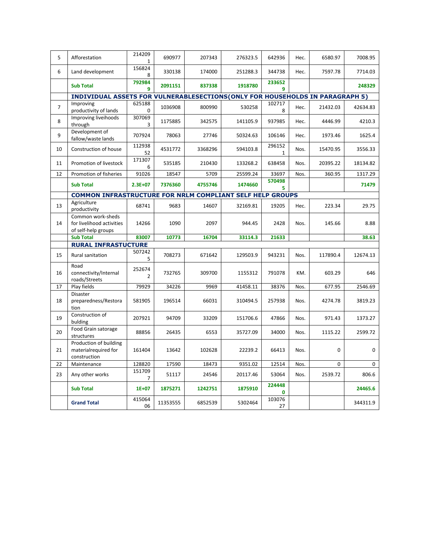| 5              | Afforestation                                                                | 214209<br>$\mathbf{1}$   | 690977   | 207343  | 276323.5 | 642936                 | Hec. | 6580.97  | 7008.95     |
|----------------|------------------------------------------------------------------------------|--------------------------|----------|---------|----------|------------------------|------|----------|-------------|
| 6              | Land development                                                             | 156824<br>8              | 330138   | 174000  | 251288.3 | 344738                 | Hec. | 7597.78  | 7714.03     |
|                | <b>Sub Total</b>                                                             | 792984<br>9              | 2091151  | 837338  | 1918780  | 233652<br>9            |      |          | 248329      |
|                | INDIVIDUAL ASSETS FOR VULNERABLESECTIONS(ONLY FOR HOUSEHOLDS IN PARAGRAPH 5) |                          |          |         |          |                        |      |          |             |
|                | Improving                                                                    | 625188                   |          |         |          | 102717                 |      |          |             |
| $\overline{7}$ | productivity of lands                                                        | 0                        | 1036908  | 800990  | 530258   | 8                      | Hec. | 21432.03 | 42634.83    |
| 8              | Improving liveihoods<br>through                                              | 307069<br>3              | 1175885  | 342575  | 141105.9 | 937985                 | Hec. | 4446.99  | 4210.3      |
| 9              | Development of<br>fallow/waste lands                                         | 707924                   | 78063    | 27746   | 50324.63 | 106146                 | Hec. | 1973.46  | 1625.4      |
| 10             | Construction of house                                                        | 112938<br>52             | 4531772  | 3368296 | 594103.8 | 296152<br>$\mathbf{1}$ | Nos. | 15470.95 | 3556.33     |
| 11             | Promotion of livestock                                                       | 171307<br>6              | 535185   | 210430  | 133268.2 | 638458                 | Nos. | 20395.22 | 18134.82    |
| 12             | Promotion of fisheries                                                       | 91026                    | 18547    | 5709    | 25599.24 | 33697                  | Nos. | 360.95   | 1317.29     |
|                |                                                                              |                          |          |         |          | 570498                 |      |          |             |
|                | <b>Sub Total</b>                                                             | $2.3E + 07$              | 7376360  | 4755746 | 1474660  | 5.                     |      |          | 71479       |
|                | COMMON INFRASTRUCTURE FOR NRLM COMPLIANT SELF HELP GROUPS                    |                          |          |         |          |                        |      |          |             |
| 13             | Agriculture<br>productivity                                                  | 68741                    | 9683     | 14607   | 32169.81 | 19205                  | Hec. | 223.34   | 29.75       |
| 14             | Common work-sheds<br>for livelihood activities<br>of self-help groups        | 14266                    | 1090     | 2097    | 944.45   | 2428                   | Nos. | 145.66   | 8.88        |
|                | <b>Sub Total</b>                                                             | 83007                    | 10773    | 16704   | 33114.3  | 21633                  |      |          | 38.63       |
|                | <b>RURAL INFRASTUCTURE</b>                                                   |                          |          |         |          |                        |      |          |             |
|                |                                                                              | 507242                   |          |         |          |                        |      |          |             |
| 15             | Rural sanitation                                                             | 5                        | 708273   | 671642  | 129503.9 | 943231                 | Nos. | 117890.4 | 12674.13    |
| 16             | Road<br>connectivity/Internal<br>roads/Streets                               | 252674<br>$\overline{2}$ | 732765   | 309700  | 1155312  | 791078                 | KM.  | 603.29   | 646         |
| 17             | Play fields                                                                  | 79929                    | 34226    | 9969    | 41458.11 | 38376                  | Nos. | 677.95   | 2546.69     |
| 18             | Disaster<br>preparedness/Restora<br>tion                                     | 581905                   | 196514   | 66031   | 310494.5 | 257938                 | Nos. | 4274.78  | 3819.23     |
| 19             | Construction of<br>bulding                                                   | 207921                   | 94709    | 33209   | 151706.6 | 47866                  | Nos. | 971.43   | 1373.27     |
| 20             | Food Grain satorage<br>structures                                            | 88856                    | 26435    | 6553    | 35727.09 | 34000                  | Nos. | 1115.22  | 2599.72     |
| 21             | Production of building<br>materialrequired for<br>construction               | 161404                   | 13642    | 102628  | 22239.2  | 66413                  | Nos. | $\Omega$ | 0           |
| 22             | Maintenance                                                                  | 128820                   | 17590    | 18473   | 9351.02  | 12514                  | Nos. | 0        | $\mathbf 0$ |
| 23             | Any other works                                                              | 151709<br>7              | 51117    | 24546   | 20117.46 | 53064                  | Nos. | 2539.72  | 806.6       |
|                | <b>Sub Total</b>                                                             | $1E+07$                  | 1875271  | 1242751 | 1875910  | 224448<br>$\mathbf{0}$ |      |          | 24465.6     |
|                | <b>Grand Total</b>                                                           | 415064<br>06             | 11353555 | 6852539 | 5302464  | 103076<br>27           |      |          | 344311.9    |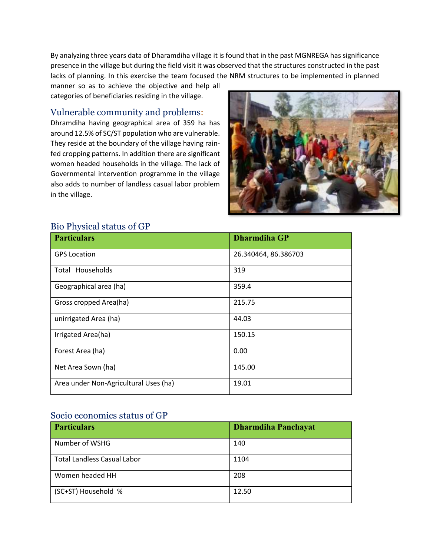By analyzing three years data of Dharamdiha village it is found that in the past MGNREGA has significance presence in the village but during the field visit it was observed that the structures constructed in the past lacks of planning. In this exercise the team focused the NRM structures to be implemented in planned

manner so as to achieve the objective and help all categories of beneficiaries residing in the village.

### <span id="page-8-0"></span>Vulnerable community and problems:

Dhramdiha having geographical area of 359 ha has around 12.5% of SC/ST population who are vulnerable. They reside at the boundary of the village having rainfed cropping patterns. In addition there are significant women headed households in the village. The lack of Governmental intervention programme in the village also adds to number of landless casual labor problem in the village.



# <span id="page-8-1"></span>Bio Physical status of GP

| <b>Particulars</b>                    | <b>Dharmdiha GP</b>  |
|---------------------------------------|----------------------|
| <b>GPS Location</b>                   | 26.340464, 86.386703 |
| Total Households                      | 319                  |
| Geographical area (ha)                | 359.4                |
| Gross cropped Area(ha)                | 215.75               |
| unirrigated Area (ha)                 | 44.03                |
| Irrigated Area(ha)                    | 150.15               |
| Forest Area (ha)                      | 0.00                 |
| Net Area Sown (ha)                    | 145.00               |
| Area under Non-Agricultural Uses (ha) | 19.01                |

#### <span id="page-8-2"></span>Socio economics status of GP

| <b>Particulars</b>                 | <b>Dharmdiha Panchayat</b> |
|------------------------------------|----------------------------|
| Number of WSHG                     | 140                        |
| <b>Total Landless Casual Labor</b> | 1104                       |
| Women headed HH                    | 208                        |
| (SC+ST) Household %                | 12.50                      |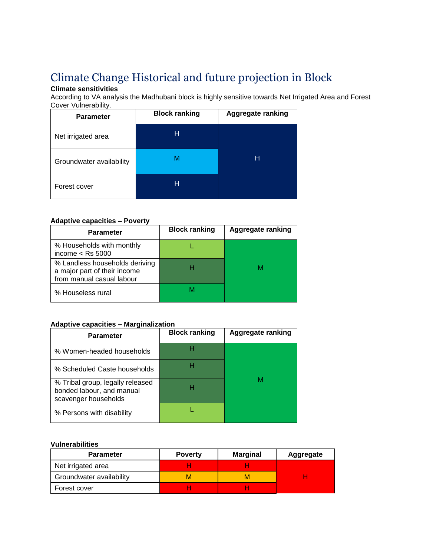# <span id="page-9-0"></span>Climate Change Historical and future projection in Block

### **Climate sensitivities**

According to VA analysis the Madhubani block is highly sensitive towards Net Irrigated Area and Forest Cover Vulnerability.

| <b>Parameter</b>         | <b>Block ranking</b> | <b>Aggregate ranking</b> |
|--------------------------|----------------------|--------------------------|
| Net irrigated area       | н                    |                          |
| Groundwater availability | М                    | н                        |
| Forest cover             | н                    |                          |

#### **Adaptive capacities – Poverty**

| <b>Parameter</b>                                                                            | <b>Block ranking</b> | Aggregate ranking |
|---------------------------------------------------------------------------------------------|----------------------|-------------------|
| % Households with monthly<br>income $<$ Rs 5000                                             |                      |                   |
| % Landless households deriving<br>a major part of their income<br>from manual casual labour |                      |                   |
| % Houseless rural                                                                           |                      |                   |

#### **Adaptive capacities – Marginalization**

| <b>Parameter</b>                                                                      | <b>Block ranking</b> | <b>Aggregate ranking</b> |
|---------------------------------------------------------------------------------------|----------------------|--------------------------|
| % Women-headed households                                                             |                      |                          |
| % Scheduled Caste households                                                          |                      |                          |
| % Tribal group, legally released<br>bonded labour, and manual<br>scavenger households | н                    |                          |
| % Persons with disability                                                             |                      |                          |

#### **Vulnerabilities**

| <b>Parameter</b>         | <b>Poverty</b> | <b>Marginal</b> | <b>Aggregate</b> |
|--------------------------|----------------|-----------------|------------------|
| Net irrigated area       |                |                 |                  |
| Groundwater availability | м              |                 |                  |
| Forest cover             |                |                 |                  |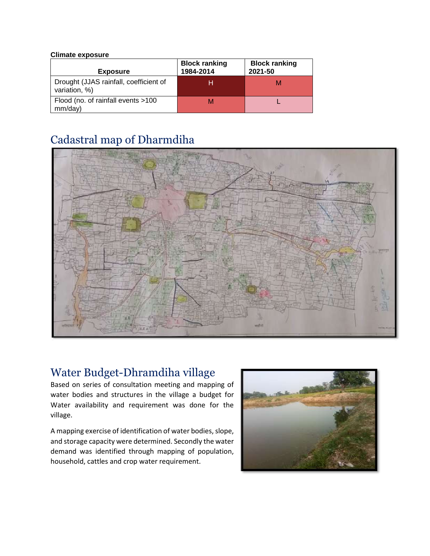#### **Climate exposure**

| <b>Exposure</b>                                         | <b>Block ranking</b><br>1984-2014 | <b>Block ranking</b><br>2021-50 |
|---------------------------------------------------------|-----------------------------------|---------------------------------|
| Drought (JJAS rainfall, coefficient of<br>variation, %) | н                                 |                                 |
| Flood (no. of rainfall events >100<br>mm/day)           | м                                 |                                 |

# <span id="page-10-0"></span>Cadastral map of Dharmdiha



# <span id="page-10-1"></span>Water Budget-Dhramdiha village

Based on series of consultation meeting and mapping of water bodies and structures in the village a budget for Water availability and requirement was done for the village.

A mapping exercise of identification of water bodies, slope, and storage capacity were determined. Secondly the water demand was identified through mapping of population, household, cattles and crop water requirement.

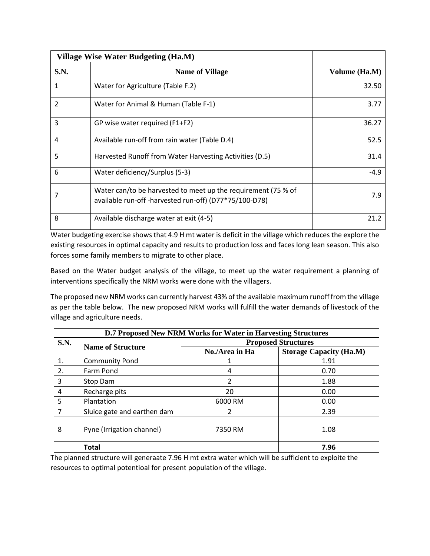| Village Wise Water Budgeting (Ha.M) |                                                                                                                         |               |
|-------------------------------------|-------------------------------------------------------------------------------------------------------------------------|---------------|
| <b>S.N.</b>                         | <b>Name of Village</b>                                                                                                  | Volume (Ha.M) |
| 1                                   | Water for Agriculture (Table F.2)                                                                                       | 32.50         |
| $\overline{2}$                      | Water for Animal & Human (Table F-1)                                                                                    | 3.77          |
| 3                                   | GP wise water required (F1+F2)                                                                                          | 36.27         |
| $\overline{4}$                      | Available run-off from rain water (Table D.4)                                                                           | 52.5          |
| 5                                   | Harvested Runoff from Water Harvesting Activities (D.5)                                                                 | 31.4          |
| 6                                   | Water deficiency/Surplus (5-3)                                                                                          | $-4.9$        |
|                                     | Water can/to be harvested to meet up the requirement (75 % of<br>available run-off -harvested run-off) (D77*75/100-D78) | 7.9           |
| 8                                   | Available discharge water at exit (4-5)                                                                                 | 21.2          |

Water budgeting exercise shows that 4.9 H mt water is deficit in the village which reduces the explore the existing resources in optimal capacity and results to production loss and faces long lean season. This also forces some family members to migrate to other place.

Based on the Water budget analysis of the village, to meet up the water requirement a planning of interventions specifically the NRM works were done with the villagers.

The proposed new NRM works can currently harvest 43% of the available maximum runoff from the village as per the table below. The new proposed NRM works will fulfill the water demands of livestock of the village and agriculture needs.

| <b>D.7 Proposed New NRM Works for Water in Harvesting Structures</b> |                             |                            |                                |  |
|----------------------------------------------------------------------|-----------------------------|----------------------------|--------------------------------|--|
| S.N.                                                                 | <b>Name of Structure</b>    | <b>Proposed Structures</b> |                                |  |
|                                                                      |                             | No./Area in Ha             | <b>Storage Capacity (Ha.M)</b> |  |
| 1.                                                                   | <b>Community Pond</b>       | 1                          | 1.91                           |  |
| 2.                                                                   | Farm Pond                   | 4                          | 0.70                           |  |
| 3                                                                    | Stop Dam                    | 2                          | 1.88                           |  |
| 4                                                                    | Recharge pits               | 20                         | 0.00                           |  |
| 5                                                                    | Plantation                  | 6000 RM                    | 0.00                           |  |
| 7                                                                    | Sluice gate and earthen dam | 2                          | 2.39                           |  |
| 8                                                                    | Pyne (Irrigation channel)   | 7350 RM                    | 1.08                           |  |
|                                                                      | <b>Total</b>                |                            | 7.96                           |  |

The planned structure will generaate 7.96 H mt extra water which will be sufficient to exploite the resources to optimal potentioal for present population of the village.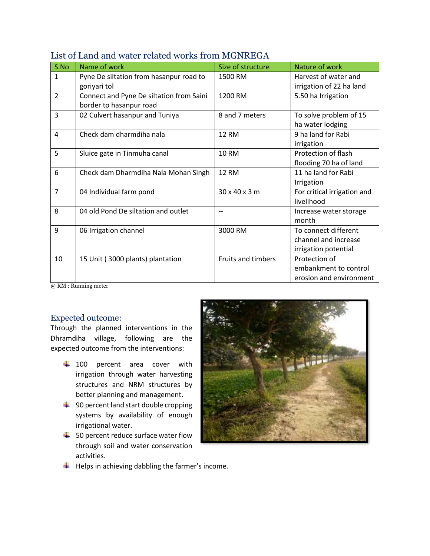| S.No           | Name of work                                                        | Size of structure         | Nature of work                                                       |
|----------------|---------------------------------------------------------------------|---------------------------|----------------------------------------------------------------------|
| $\mathbf{1}$   | Pyne De siltation from hasanpur road to<br>goriyari tol             | 1500 RM                   | Harvest of water and<br>irrigation of 22 ha land                     |
| 2              | Connect and Pyne De siltation from Saini<br>border to hasanpur road | 1200 RM                   | 5.50 ha Irrigation                                                   |
| 3              | 02 Culvert hasanpur and Tuniya                                      | 8 and 7 meters            | To solve problem of 15<br>ha water lodging                           |
| 4              | Check dam dharmdiha nala                                            | <b>12 RM</b>              | 9 ha land for Rabi<br>irrigation                                     |
| 5              | Sluice gate in Tinmuha canal                                        | <b>10 RM</b>              | Protection of flash<br>flooding 70 ha of land                        |
| 6              | Check dam Dharmdiha Nala Mohan Singh                                | <b>12 RM</b>              | 11 ha land for Rabi<br>Irrigation                                    |
| $\overline{7}$ | 04 Individual farm pond                                             | 30 x 40 x 3 m             | For critical irrigation and<br>livelihood                            |
| 8              | 04 old Pond De siltation and outlet                                 |                           | Increase water storage<br>month                                      |
| 9              | 06 Irrigation channel                                               | 3000 RM                   | To connect different<br>channel and increase<br>irrigation potential |
| 10             | 15 Unit (3000 plants) plantation                                    | <b>Fruits and timbers</b> | Protection of<br>embankment to control<br>erosion and environment    |

# <span id="page-12-0"></span>List of Land and water related works from MGNREGA

@ RM : Running meter

### <span id="page-12-1"></span>Expected outcome:

Through the planned interventions in the Dhramdiha village, following are the expected outcome from the interventions:

- $\frac{1}{2}$  100 percent area cover with irrigation through water harvesting structures and NRM structures by better planning and management.
- $\frac{1}{2}$  90 percent land start double cropping systems by availability of enough irrigational water.
- $\frac{1}{2}$  50 percent reduce surface water flow through soil and water conservation activities.



 $\downarrow$  Helps in achieving dabbling the farmer's income.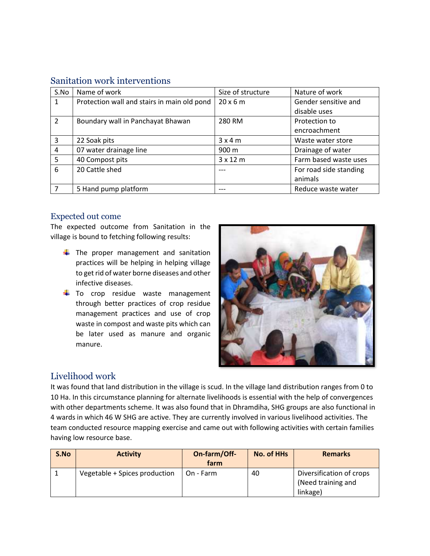<span id="page-13-0"></span>

| S.No | Name of work                                | Size of structure | Nature of work         |
|------|---------------------------------------------|-------------------|------------------------|
| 1    | Protection wall and stairs in main old pond | $20 \times 6$ m   | Gender sensitive and   |
|      |                                             |                   | disable uses           |
| 2    | Boundary wall in Panchayat Bhawan           | 280 RM            | Protection to          |
|      |                                             |                   | encroachment           |
| 3    | 22 Soak pits                                | 3x4m              | Waste water store      |
| 4    | 07 water drainage line                      | 900 m             | Drainage of water      |
| 5    | 40 Compost pits                             | $3 \times 12$ m   | Farm based waste uses  |
| 6    | 20 Cattle shed                              |                   | For road side standing |
|      |                                             |                   | animals                |
|      | 5 Hand pump platform                        |                   | Reduce waste water     |

### <span id="page-13-1"></span>Expected out come

The expected outcome from Sanitation in the village is bound to fetching following results:

- $\frac{1}{\sqrt{2}}$  The proper management and sanitation practices will be helping in helping village to get rid of water borne diseases and other infective diseases.
- $\downarrow$  To crop residue waste management through better practices of crop residue management practices and use of crop waste in compost and waste pits which can be later used as manure and organic manure.



# <span id="page-13-2"></span>Livelihood work

It was found that land distribution in the village is scud. In the village land distribution ranges from 0 to 10 Ha. In this circumstance planning for alternate livelihoods is essential with the help of convergences with other departments scheme. It was also found that in Dhramdiha, SHG groups are also functional in 4 wards in which 46 W SHG are active. They are currently involved in various livelihood activities. The team conducted resource mapping exercise and came out with following activities with certain families having low resource base.

| S.No | <b>Activity</b>               | On-farm/Off-<br>farm | <b>No. of HHs</b> | <b>Remarks</b>                                             |
|------|-------------------------------|----------------------|-------------------|------------------------------------------------------------|
|      | Vegetable + Spices production | On - Farm            | 40                | Diversification of crops<br>(Need training and<br>linkage) |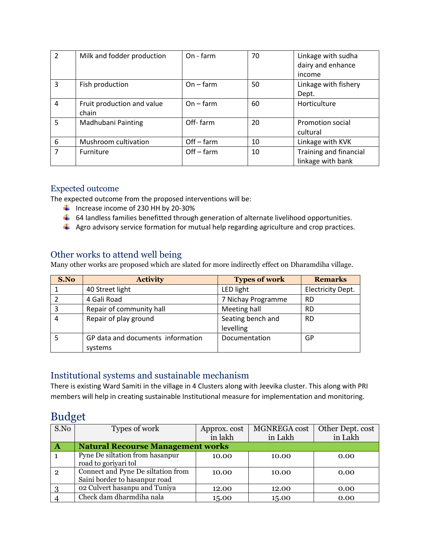| $\overline{2}$ | Milk and fodder production          | On - farm    | 70 | Linkage with sudha<br>dairy and enhance<br>income |
|----------------|-------------------------------------|--------------|----|---------------------------------------------------|
| $\overline{3}$ | Fish production                     | $On - farm$  | 50 | Linkage with fishery<br>Dept.                     |
| 4              | Fruit production and value<br>chain | $On - farm$  | 60 | Horticulture                                      |
| 5              | Madhubani Painting                  | Off-farm     | 20 | Promotion social<br>cultural                      |
| 6              | Mushroom cultivation                | $Off - farm$ | 10 | Linkage with KVK                                  |
| 7              | Furniture                           | $Off - farm$ | 10 | Training and financial<br>linkage with bank       |

### <span id="page-14-0"></span>Expected outcome

The expected outcome from the proposed interventions will be:

- $\frac{1}{2}$  Increase income of 230 HH by 20-30%
- $\downarrow$  64 landless families benefitted through generation of alternate livelihood opportunities.
- $\downarrow$  Agro advisory service formation for mutual help regarding agriculture and crop practices.

### <span id="page-14-1"></span>Other works to attend well being

Many other works are proposed which are slated for more indirectly effect on Dharamdiha village.

| S.No | <b>Activity</b>                   | <b>Types of work</b> | <b>Remarks</b>    |
|------|-----------------------------------|----------------------|-------------------|
|      | 40 Street light                   | LED light            | Electricity Dept. |
|      | 4 Gali Road                       | 7 Nichay Programme   | <b>RD</b>         |
|      | Repair of community hall          | Meeting hall         | <b>RD</b>         |
|      | Repair of play ground             | Seating bench and    | <b>RD</b>         |
|      |                                   | levelling            |                   |
|      | GP data and documents information | Documentation        | GP                |
|      | systems                           |                      |                   |

# <span id="page-14-2"></span>Institutional systems and sustainable mechanism

There is existing Ward Samiti in the village in 4 Clusters along with Jeevika cluster. This along with PRI members will help in creating sustainable Institutional measure for implementation and monitoring.

# <span id="page-14-3"></span>Budget

| S.No           | Types of work                                                       | Approx. cost | MGNREGA cost | Other Dept. cost |  |  |  |  |  |  |  |
|----------------|---------------------------------------------------------------------|--------------|--------------|------------------|--|--|--|--|--|--|--|
|                |                                                                     | in lakh      | in Lakh      | in Lakh          |  |  |  |  |  |  |  |
| $\mathbf A$    | <b>Natural Recourse Management works</b>                            |              |              |                  |  |  |  |  |  |  |  |
|                | Pyne De siltation from hasanpur<br>road to goriyari tol             | 10.00        | 10.00        | 0.00             |  |  |  |  |  |  |  |
| $\overline{2}$ | Connect and Pyne De siltation from<br>Saini border to hasanpur road | 10.00        | 10.00        | 0.00             |  |  |  |  |  |  |  |
|                | 02 Culvert hasanpu and Tuniya                                       | 12.00        | 12.00        | 0.00             |  |  |  |  |  |  |  |
|                | Check dam dharmdiha nala                                            | 15.00        | 15.00        | 0.00             |  |  |  |  |  |  |  |